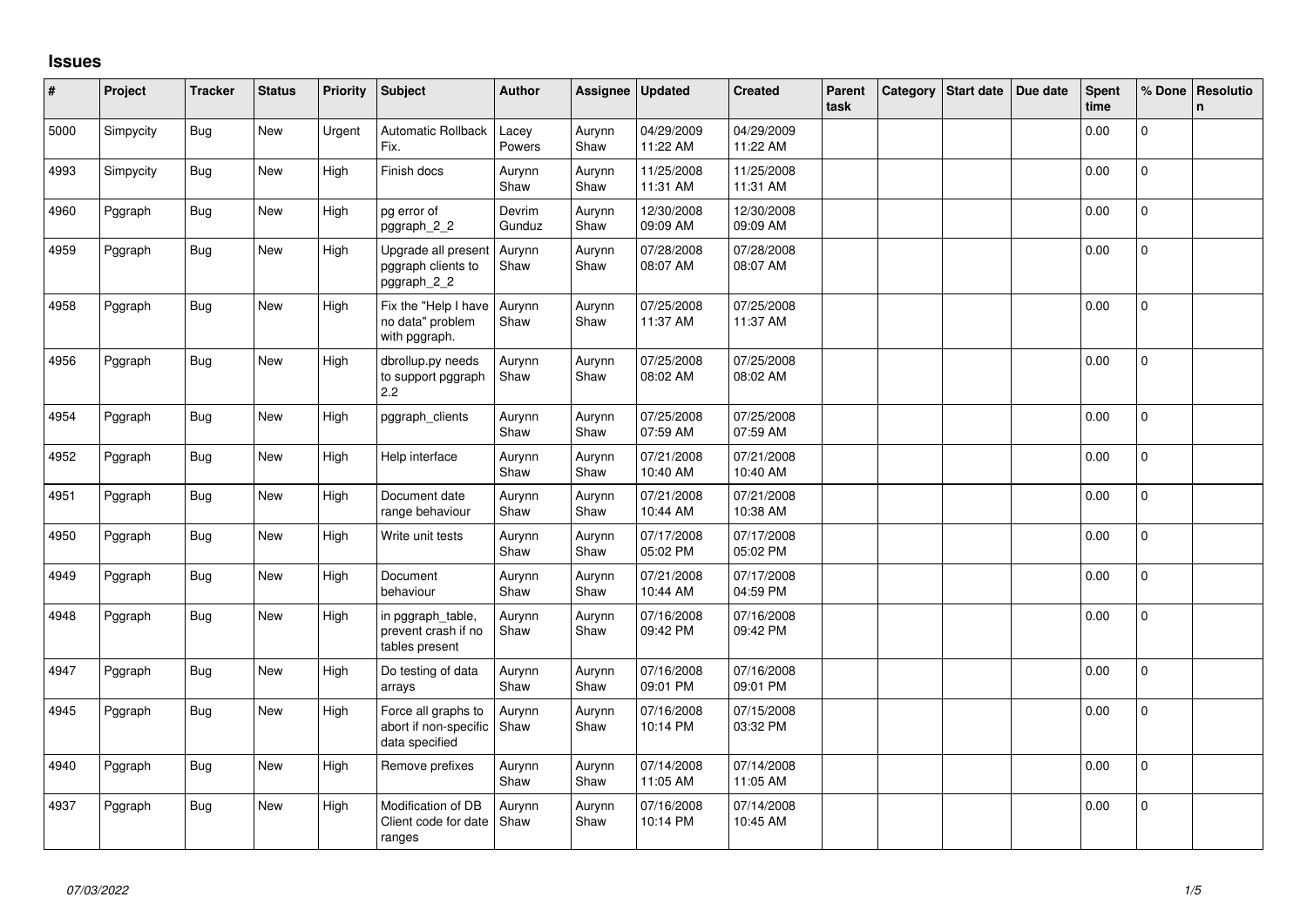## **Issues**

| #    | Project   | <b>Tracker</b> | <b>Status</b> | <b>Priority</b> | Subject                                                        | <b>Author</b>    | Assignee       | <b>Updated</b>         | <b>Created</b>         | Parent<br>task | Category | Start date | Due date | Spent<br>time | % Done       | Resolutio<br>n |
|------|-----------|----------------|---------------|-----------------|----------------------------------------------------------------|------------------|----------------|------------------------|------------------------|----------------|----------|------------|----------|---------------|--------------|----------------|
| 5000 | Simpycity | <b>Bug</b>     | New           | Urgent          | Automatic Rollback<br>Fix.                                     | Lacey<br>Powers  | Aurynn<br>Shaw | 04/29/2009<br>11:22 AM | 04/29/2009<br>11:22 AM |                |          |            |          | 0.00          | $\Omega$     |                |
| 4993 | Simpycity | <b>Bug</b>     | New           | High            | Finish docs                                                    | Aurynn<br>Shaw   | Aurynn<br>Shaw | 11/25/2008<br>11:31 AM | 11/25/2008<br>11:31 AM |                |          |            |          | 0.00          | $\mathbf{0}$ |                |
| 4960 | Pggraph   | <b>Bug</b>     | New           | High            | pg error of<br>pggraph_2_2                                     | Devrim<br>Gunduz | Aurynn<br>Shaw | 12/30/2008<br>09:09 AM | 12/30/2008<br>09:09 AM |                |          |            |          | 0.00          | $\mathbf{0}$ |                |
| 4959 | Pggraph   | <b>Bug</b>     | New           | High            | Upgrade all present<br>pggraph clients to<br>pggraph_2_2       | Aurynn<br>Shaw   | Aurynn<br>Shaw | 07/28/2008<br>08:07 AM | 07/28/2008<br>08:07 AM |                |          |            |          | 0.00          | $\mathbf 0$  |                |
| 4958 | Pggraph   | <b>Bug</b>     | New           | High            | Fix the "Help I have<br>no data" problem<br>with pggraph.      | Aurynn<br>Shaw   | Aurynn<br>Shaw | 07/25/2008<br>11:37 AM | 07/25/2008<br>11:37 AM |                |          |            |          | 0.00          | $\Omega$     |                |
| 4956 | Pggraph   | <b>Bug</b>     | <b>New</b>    | High            | dbrollup.py needs<br>to support pggraph<br>$2.2^{\circ}$       | Aurynn<br>Shaw   | Aurynn<br>Shaw | 07/25/2008<br>08:02 AM | 07/25/2008<br>08:02 AM |                |          |            |          | 0.00          | $\mathbf 0$  |                |
| 4954 | Pggraph   | <b>Bug</b>     | <b>New</b>    | High            | pggraph_clients                                                | Aurynn<br>Shaw   | Aurynn<br>Shaw | 07/25/2008<br>07:59 AM | 07/25/2008<br>07:59 AM |                |          |            |          | 0.00          | $\Omega$     |                |
| 4952 | Pggraph   | <b>Bug</b>     | New           | High            | Help interface                                                 | Aurynn<br>Shaw   | Aurynn<br>Shaw | 07/21/2008<br>10:40 AM | 07/21/2008<br>10:40 AM |                |          |            |          | 0.00          | $\mathbf{0}$ |                |
| 4951 | Pggraph   | <b>Bug</b>     | New           | High            | Document date<br>range behaviour                               | Aurynn<br>Shaw   | Aurynn<br>Shaw | 07/21/2008<br>10:44 AM | 07/21/2008<br>10:38 AM |                |          |            |          | 0.00          | $\mathbf{0}$ |                |
| 4950 | Pggraph   | <b>Bug</b>     | New           | High            | Write unit tests                                               | Aurynn<br>Shaw   | Aurynn<br>Shaw | 07/17/2008<br>05:02 PM | 07/17/2008<br>05:02 PM |                |          |            |          | 0.00          | 0            |                |
| 4949 | Pggraph   | <b>Bug</b>     | New           | High            | Document<br>behaviour                                          | Aurynn<br>Shaw   | Aurynn<br>Shaw | 07/21/2008<br>10:44 AM | 07/17/2008<br>04:59 PM |                |          |            |          | 0.00          | $\mathbf{0}$ |                |
| 4948 | Pggraph   | <b>Bug</b>     | New           | High            | in pggraph table,<br>prevent crash if no<br>tables present     | Aurynn<br>Shaw   | Aurynn<br>Shaw | 07/16/2008<br>09:42 PM | 07/16/2008<br>09:42 PM |                |          |            |          | 0.00          | 0            |                |
| 4947 | Pggraph   | <b>Bug</b>     | New           | High            | Do testing of data<br>arrays                                   | Aurynn<br>Shaw   | Aurynn<br>Shaw | 07/16/2008<br>09:01 PM | 07/16/2008<br>09:01 PM |                |          |            |          | 0.00          | $\mathbf{0}$ |                |
| 4945 | Pggraph   | Bug            | <b>New</b>    | High            | Force all graphs to<br>abort if non-specific<br>data specified | Aurynn<br>Shaw   | Aurynn<br>Shaw | 07/16/2008<br>10:14 PM | 07/15/2008<br>03:32 PM |                |          |            |          | 0.00          | $\mathbf{0}$ |                |
| 4940 | Pggraph   | <b>Bug</b>     | New           | High            | Remove prefixes                                                | Aurynn<br>Shaw   | Aurynn<br>Shaw | 07/14/2008<br>11:05 AM | 07/14/2008<br>11:05 AM |                |          |            |          | 0.00          | $\Omega$     |                |
| 4937 | Pggraph   | <b>Bug</b>     | New           | High            | Modification of DB<br>Client code for date<br>ranges           | Aurynn<br>Shaw   | Aurynn<br>Shaw | 07/16/2008<br>10:14 PM | 07/14/2008<br>10:45 AM |                |          |            |          | 0.00          | $\Omega$     |                |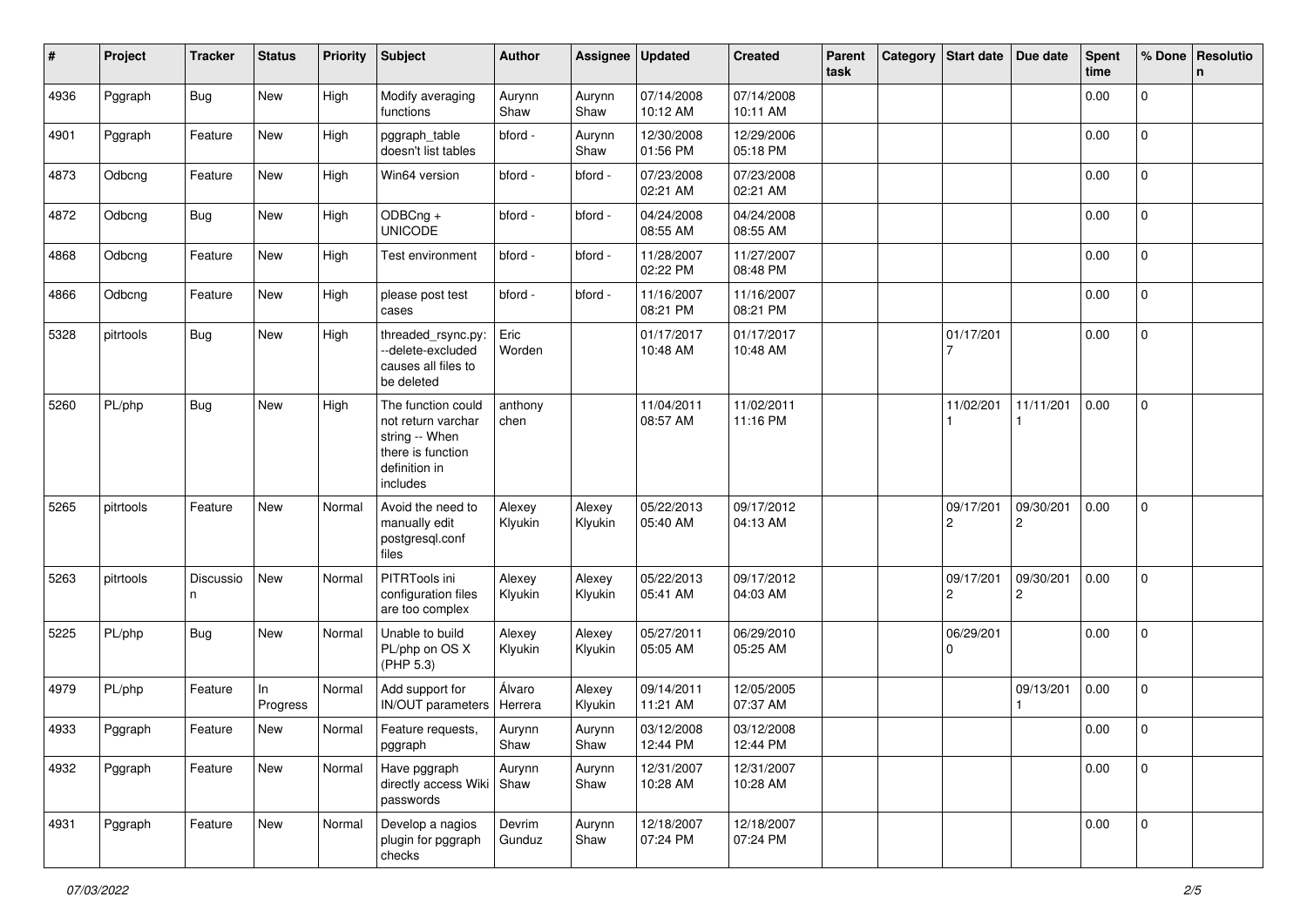| #    | Project   | <b>Tracker</b> | <b>Status</b>  | <b>Priority</b> | Subject                                                                                                      | Author            | <b>Assignee</b>   | <b>Updated</b>         | <b>Created</b>         | Parent<br>task | Category | Start date                           | Due date                    | <b>Spent</b><br>time | % Done         | Resolutio<br>$\mathsf{n}$ |
|------|-----------|----------------|----------------|-----------------|--------------------------------------------------------------------------------------------------------------|-------------------|-------------------|------------------------|------------------------|----------------|----------|--------------------------------------|-----------------------------|----------------------|----------------|---------------------------|
| 4936 | Pggraph   | <b>Bug</b>     | New            | High            | Modify averaging<br>functions                                                                                | Aurynn<br>Shaw    | Aurynn<br>Shaw    | 07/14/2008<br>10:12 AM | 07/14/2008<br>10:11 AM |                |          |                                      |                             | 0.00                 | 0              |                           |
| 4901 | Pggraph   | Feature        | New            | High            | pggraph_table<br>doesn't list tables                                                                         | bford -           | Aurynn<br>Shaw    | 12/30/2008<br>01:56 PM | 12/29/2006<br>05:18 PM |                |          |                                      |                             | 0.00                 | $\overline{0}$ |                           |
| 4873 | Odbcng    | Feature        | New            | High            | Win64 version                                                                                                | bford -           | bford -           | 07/23/2008<br>02:21 AM | 07/23/2008<br>02:21 AM |                |          |                                      |                             | 0.00                 | 0              |                           |
| 4872 | Odbcng    | <b>Bug</b>     | New            | High            | ODBCng +<br><b>UNICODE</b>                                                                                   | bford -           | bford -           | 04/24/2008<br>08:55 AM | 04/24/2008<br>08:55 AM |                |          |                                      |                             | 0.00                 | 0              |                           |
| 4868 | Odbcng    | Feature        | New            | High            | Test environment                                                                                             | bford -           | bford -           | 11/28/2007<br>02:22 PM | 11/27/2007<br>08:48 PM |                |          |                                      |                             | 0.00                 | $\mathbf{0}$   |                           |
| 4866 | Odbcng    | Feature        | New            | High            | please post test<br>cases                                                                                    | bford -           | bford -           | 11/16/2007<br>08:21 PM | 11/16/2007<br>08:21 PM |                |          |                                      |                             | 0.00                 | $\overline{0}$ |                           |
| 5328 | pitrtools | <b>Bug</b>     | New            | High            | threaded_rsync.py:<br>--delete-excluded<br>causes all files to<br>be deleted                                 | Eric<br>Worden    |                   | 01/17/2017<br>10:48 AM | 01/17/2017<br>10:48 AM |                |          | 01/17/201                            |                             | 0.00                 | $\mathbf 0$    |                           |
| 5260 | PL/php    | <b>Bug</b>     | New            | High            | The function could<br>not return varchar<br>string -- When<br>there is function<br>definition in<br>includes | anthony<br>chen   |                   | 11/04/2011<br>08:57 AM | 11/02/2011<br>11:16 PM |                |          | 11/02/201                            | 11/11/201                   | 0.00                 | 0              |                           |
| 5265 | pitrtools | Feature        | New            | Normal          | Avoid the need to<br>manually edit<br>postgresql.conf<br>files                                               | Alexey<br>Klyukin | Alexey<br>Klyukin | 05/22/2013<br>05:40 AM | 09/17/2012<br>04:13 AM |                |          | 09/17/201<br>$\mathbf{2}$            | 09/30/201<br>2              | 0.00                 | $\mathbf 0$    |                           |
| 5263 | pitrtools | Discussio<br>n | New            | Normal          | PITRTools ini<br>configuration files<br>are too complex                                                      | Alexey<br>Klyukin | Alexey<br>Klyukin | 05/22/2013<br>05:41 AM | 09/17/2012<br>04:03 AM |                |          | 09/17/201<br>$\overline{\mathbf{c}}$ | 09/30/201<br>$\overline{c}$ | 0.00                 | $\pmb{0}$      |                           |
| 5225 | PL/php    | <b>Bug</b>     | New            | Normal          | Unable to build<br>PL/php on OS X<br>(PHP 5.3)                                                               | Alexey<br>Klyukin | Alexey<br>Klyukin | 05/27/2011<br>05:05 AM | 06/29/2010<br>05:25 AM |                |          | 06/29/201<br>0                       |                             | 0.00                 | $\mathbf 0$    |                           |
| 4979 | PL/php    | Feature        | In<br>Progress | Normal          | Add support for<br><b>IN/OUT</b> parameters                                                                  | Álvaro<br>Herrera | Alexey<br>Klyukin | 09/14/2011<br>11:21 AM | 12/05/2005<br>07:37 AM |                |          |                                      | 09/13/201                   | 0.00                 | $\mathbf{0}$   |                           |
| 4933 | Pggraph   | Feature        | New            | Normal          | Feature requests,<br>pggraph                                                                                 | Aurynn<br>Shaw    | Aurynn<br>Shaw    | 03/12/2008<br>12:44 PM | 03/12/2008<br>12:44 PM |                |          |                                      |                             | 0.00                 | $\mathbf 0$    |                           |
| 4932 | Pggraph   | Feature        | New            | Normal          | Have pggraph<br>directly access Wiki Shaw<br>passwords                                                       | Aurynn            | Aurynn<br>Shaw    | 12/31/2007<br>10:28 AM | 12/31/2007<br>10:28 AM |                |          |                                      |                             | 0.00                 | $\mathbf{0}$   |                           |
| 4931 | Pggraph   | Feature        | New            | Normal          | Develop a nagios<br>plugin for pggraph<br>checks                                                             | Devrim<br>Gunduz  | Aurynn<br>Shaw    | 12/18/2007<br>07:24 PM | 12/18/2007<br>07:24 PM |                |          |                                      |                             | 0.00                 | $\mathbf 0$    |                           |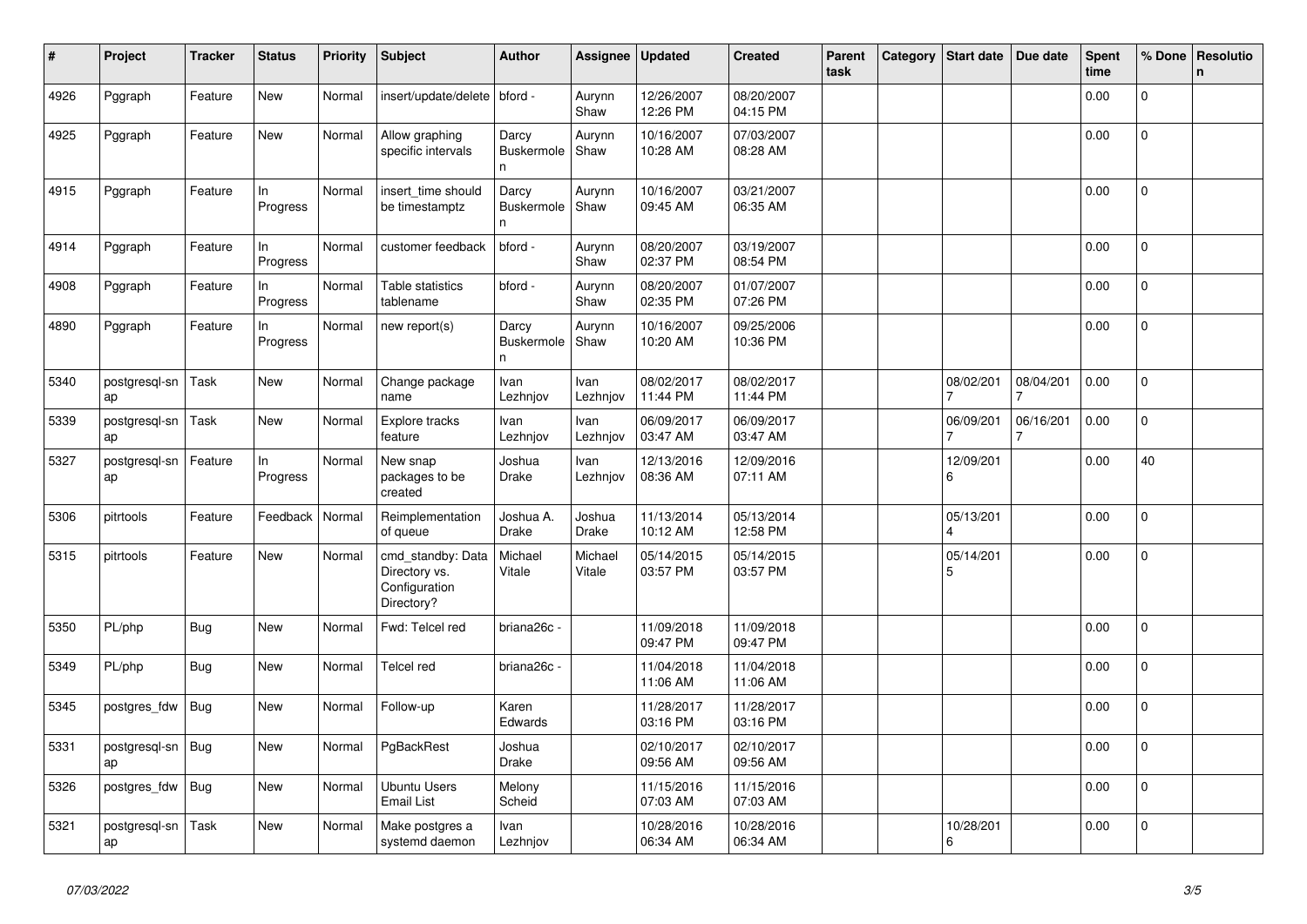| $\#$ | Project             | <b>Tracker</b> | <b>Status</b>  | <b>Priority</b> | <b>Subject</b>                                                    | <b>Author</b>                    | Assignee               | <b>Updated</b>         | <b>Created</b>         | Parent<br>task | Category | <b>Start date</b>                    | Due date  | <b>Spent</b><br>time | % Done         | Resolutio<br>$\mathsf{n}$ |
|------|---------------------|----------------|----------------|-----------------|-------------------------------------------------------------------|----------------------------------|------------------------|------------------------|------------------------|----------------|----------|--------------------------------------|-----------|----------------------|----------------|---------------------------|
| 4926 | Pggraph             | Feature        | New            | Normal          | insert/update/delete                                              | bford -                          | Aurynn<br>Shaw         | 12/26/2007<br>12:26 PM | 08/20/2007<br>04:15 PM |                |          |                                      |           | 0.00                 | $\Omega$       |                           |
| 4925 | Pggraph             | Feature        | <b>New</b>     | Normal          | Allow graphing<br>specific intervals                              | Darcy<br><b>Buskermole</b><br>n. | Aurynn<br>Shaw         | 10/16/2007<br>10:28 AM | 07/03/2007<br>08:28 AM |                |          |                                      |           | 0.00                 | 0              |                           |
| 4915 | Pggraph             | Feature        | In<br>Progress | Normal          | insert time should<br>be timestamptz                              | Darcy<br><b>Buskermole</b><br>n  | Aurynn<br>Shaw         | 10/16/2007<br>09:45 AM | 03/21/2007<br>06:35 AM |                |          |                                      |           | 0.00                 | $\pmb{0}$      |                           |
| 4914 | Pggraph             | Feature        | In<br>Progress | Normal          | customer feedback                                                 | bford -                          | Aurynn<br>Shaw         | 08/20/2007<br>02:37 PM | 03/19/2007<br>08:54 PM |                |          |                                      |           | 0.00                 | $\overline{0}$ |                           |
| 4908 | Pggraph             | Feature        | In<br>Progress | Normal          | Table statistics<br>tablename                                     | bford -                          | Aurynn<br>Shaw         | 08/20/2007<br>02:35 PM | 01/07/2007<br>07:26 PM |                |          |                                      |           | 0.00                 | $\overline{0}$ |                           |
| 4890 | Pggraph             | Feature        | In<br>Progress | Normal          | new report(s)                                                     | Darcy<br><b>Buskermole</b><br>n  | Aurynn<br>Shaw         | 10/16/2007<br>10:20 AM | 09/25/2006<br>10:36 PM |                |          |                                      |           | 0.00                 | $\overline{0}$ |                           |
| 5340 | postgresql-sn<br>ap | Task           | New            | Normal          | Change package<br>name                                            | Ivan<br>Lezhnjov                 | Ivan<br>Lezhnjov       | 08/02/2017<br>11:44 PM | 08/02/2017<br>11:44 PM |                |          | 08/02/201                            | 08/04/201 | 0.00                 | 0              |                           |
| 5339 | postgresgl-sn<br>ap | Task           | New            | Normal          | Explore tracks<br>feature                                         | Ivan<br>Lezhnjov                 | Ivan<br>Lezhnjov       | 06/09/2017<br>03:47 AM | 06/09/2017<br>03:47 AM |                |          | 06/09/201                            | 06/16/201 | 0.00                 | 0              |                           |
| 5327 | postgresql-sn<br>ap | Feature        | In<br>Progress | Normal          | New snap<br>packages to be<br>created                             | Joshua<br>Drake                  | Ivan<br>Lezhnjov       | 12/13/2016<br>08:36 AM | 12/09/2016<br>07:11 AM |                |          | 12/09/201<br>6                       |           | 0.00                 | 40             |                           |
| 5306 | pitrtools           | Feature        | Feedback       | Normal          | Reimplementation<br>of queue                                      | Joshua A.<br><b>Drake</b>        | Joshua<br><b>Drake</b> | 11/13/2014<br>10:12 AM | 05/13/2014<br>12:58 PM |                |          | 05/13/201<br>$\overline{\mathbf{A}}$ |           | 0.00                 | $\mathbf 0$    |                           |
| 5315 | pitrtools           | Feature        | <b>New</b>     | Normal          | cmd_standby: Data<br>Directory vs.<br>Configuration<br>Directory? | Michael<br>Vitale                | Michael<br>Vitale      | 05/14/2015<br>03:57 PM | 05/14/2015<br>03:57 PM |                |          | 05/14/201<br>5                       |           | 0.00                 | $\overline{0}$ |                           |
| 5350 | PL/php              | Bug            | <b>New</b>     | Normal          | Fwd: Telcel red                                                   | briana26c -                      |                        | 11/09/2018<br>09:47 PM | 11/09/2018<br>09:47 PM |                |          |                                      |           | 0.00                 | $\overline{0}$ |                           |
| 5349 | PL/php              | Bug            | <b>New</b>     | Normal          | Telcel red                                                        | briana26c -                      |                        | 11/04/2018<br>11:06 AM | 11/04/2018<br>11:06 AM |                |          |                                      |           | 0.00                 | $\mathbf 0$    |                           |
| 5345 | postgres_fdw        | Bug            | New            | Normal          | Follow-up                                                         | Karen<br>Edwards                 |                        | 11/28/2017<br>03:16 PM | 11/28/2017<br>03:16 PM |                |          |                                      |           | 0.00                 | $\Omega$       |                           |
| 5331 | postgresql-sn<br>ap | Bug            | New            | Normal          | PgBackRest                                                        | Joshua<br>Drake                  |                        | 02/10/2017<br>09:56 AM | 02/10/2017<br>09:56 AM |                |          |                                      |           | 0.00                 | 0              |                           |
| 5326 | postgres_fdw        | Bug            | New            | Normal          | Ubuntu Users<br><b>Email List</b>                                 | Melony<br>Scheid                 |                        | 11/15/2016<br>07:03 AM | 11/15/2016<br>07:03 AM |                |          |                                      |           | 0.00                 | $\mathbf{0}$   |                           |
| 5321 | postgresgl-sn<br>ap | Task           | <b>New</b>     | Normal          | Make postgres a<br>systemd daemon                                 | Ivan<br>Lezhnjov                 |                        | 10/28/2016<br>06:34 AM | 10/28/2016<br>06:34 AM |                |          | 10/28/201<br>6                       |           | 0.00                 | $\overline{0}$ |                           |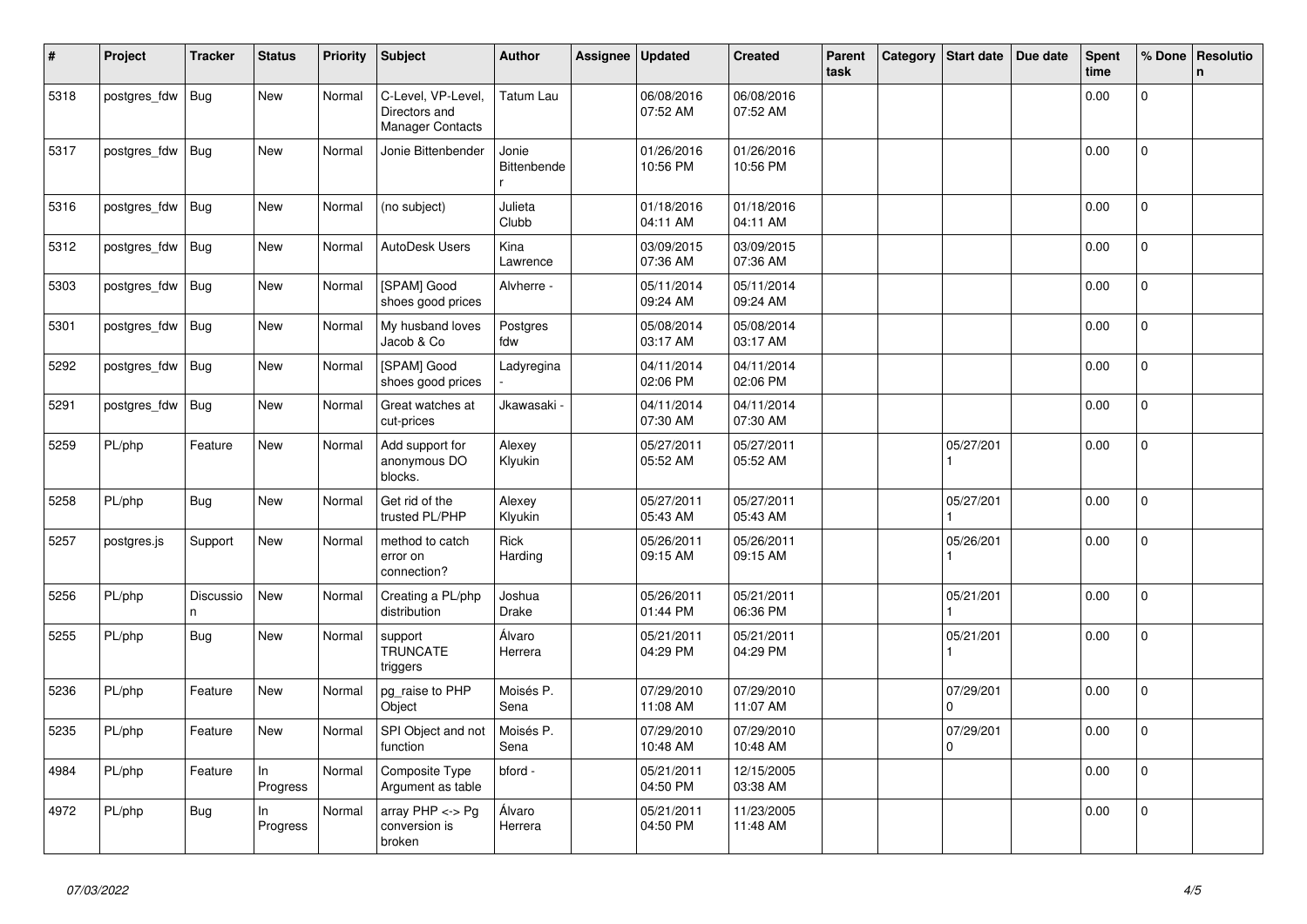| $\vert$ # | Project      | <b>Tracker</b> | <b>Status</b>  | <b>Priority</b> | <b>Subject</b>                                                 | <b>Author</b>          | Assignee | <b>Updated</b>         | <b>Created</b>         | Parent<br>task | Category | Start date                  | Due date | <b>Spent</b><br>time | % Done         | Resolutio<br>$\mathsf{n}$ |
|-----------|--------------|----------------|----------------|-----------------|----------------------------------------------------------------|------------------------|----------|------------------------|------------------------|----------------|----------|-----------------------------|----------|----------------------|----------------|---------------------------|
| 5318      | postgres_fdw | Bug            | <b>New</b>     | Normal          | C-Level, VP-Level,<br>Directors and<br><b>Manager Contacts</b> | <b>Tatum Lau</b>       |          | 06/08/2016<br>07:52 AM | 06/08/2016<br>07:52 AM |                |          |                             |          | 0.00                 | $\Omega$       |                           |
| 5317      | postgres_fdw | Bug            | New            | Normal          | Jonie Bittenbender                                             | Jonie<br>Bittenbende   |          | 01/26/2016<br>10:56 PM | 01/26/2016<br>10:56 PM |                |          |                             |          | 0.00                 | 0              |                           |
| 5316      | postgres_fdw | Bug            | <b>New</b>     | Normal          | (no subject)                                                   | Julieta<br>Clubb       |          | 01/18/2016<br>04:11 AM | 01/18/2016<br>04:11 AM |                |          |                             |          | 0.00                 | $\Omega$       |                           |
| 5312      | postgres_fdw | Bug            | <b>New</b>     | Normal          | <b>AutoDesk Users</b>                                          | Kina<br>Lawrence       |          | 03/09/2015<br>07:36 AM | 03/09/2015<br>07:36 AM |                |          |                             |          | 0.00                 | $\mathbf{0}$   |                           |
| 5303      | postgres_fdw | Bug            | New            | Normal          | [SPAM] Good<br>shoes good prices                               | Alvherre -             |          | 05/11/2014<br>09:24 AM | 05/11/2014<br>09:24 AM |                |          |                             |          | 0.00                 | 0              |                           |
| 5301      | postgres_fdw | <b>Bug</b>     | <b>New</b>     | Normal          | My husband loves<br>Jacob & Co                                 | Postgres<br>fdw        |          | 05/08/2014<br>03:17 AM | 05/08/2014<br>03:17 AM |                |          |                             |          | 0.00                 | $\overline{0}$ |                           |
| 5292      | postgres_fdw | Bug            | <b>New</b>     | Normal          | [SPAM] Good<br>shoes good prices                               | Ladyregina             |          | 04/11/2014<br>02:06 PM | 04/11/2014<br>02:06 PM |                |          |                             |          | 0.00                 | $\mathbf 0$    |                           |
| 5291      | postgres_fdw | Bug            | <b>New</b>     | Normal          | Great watches at<br>cut-prices                                 | Jkawasaki <sub>`</sub> |          | 04/11/2014<br>07:30 AM | 04/11/2014<br>07:30 AM |                |          |                             |          | 0.00                 | $\overline{0}$ |                           |
| 5259      | PL/php       | Feature        | New            | Normal          | Add support for<br>anonymous DO<br>blocks.                     | Alexey<br>Klyukin      |          | 05/27/2011<br>05:52 AM | 05/27/2011<br>05:52 AM |                |          | 05/27/201                   |          | 0.00                 | $\overline{0}$ |                           |
| 5258      | PL/php       | <b>Bug</b>     | <b>New</b>     | Normal          | Get rid of the<br>trusted PL/PHP                               | Alexey<br>Klyukin      |          | 05/27/2011<br>05:43 AM | 05/27/2011<br>05:43 AM |                |          | 05/27/201                   |          | 0.00                 | 0              |                           |
| 5257      | postgres.js  | Support        | <b>New</b>     | Normal          | method to catch<br>error on<br>connection?                     | Rick<br>Harding        |          | 05/26/2011<br>09:15 AM | 05/26/2011<br>09:15 AM |                |          | 05/26/201                   |          | 0.00                 | $\Omega$       |                           |
| 5256      | PL/php       | Discussio<br>n | New            | Normal          | Creating a PL/php<br>distribution                              | Joshua<br><b>Drake</b> |          | 05/26/2011<br>01:44 PM | 05/21/2011<br>06:36 PM |                |          | 05/21/201                   |          | 0.00                 | $\Omega$       |                           |
| 5255      | PL/php       | <b>Bug</b>     | <b>New</b>     | Normal          | support<br><b>TRUNCATE</b><br>triggers                         | Álvaro<br>Herrera      |          | 05/21/2011<br>04:29 PM | 05/21/2011<br>04:29 PM |                |          | 05/21/201<br>$\overline{1}$ |          | 0.00                 | $\Omega$       |                           |
| 5236      | PL/php       | Feature        | <b>New</b>     | Normal          | pg_raise to PHP<br>Object                                      | Moisés P.<br>Sena      |          | 07/29/2010<br>11:08 AM | 07/29/2010<br>11:07 AM |                |          | 07/29/201<br>$\Omega$       |          | 0.00                 | $\overline{0}$ |                           |
| 5235      | PL/php       | Feature        | New            | Normal          | SPI Object and not<br>function                                 | Moisés P.<br>Sena      |          | 07/29/2010<br>10:48 AM | 07/29/2010<br>10:48 AM |                |          | 07/29/201<br>$\Omega$       |          | 0.00                 | $\mathbf 0$    |                           |
| 4984      | PL/php       | Feature        | In<br>Progress | Normal          | Composite Type<br>Argument as table                            | bford -                |          | 05/21/2011<br>04:50 PM | 12/15/2005<br>03:38 AM |                |          |                             |          | 0.00                 | $\Omega$       |                           |
| 4972      | PL/php       | Bug            | ln<br>Progress | Normal          | array $PHP \lt\gt Pg$<br>conversion is<br>broken               | Álvaro<br>Herrera      |          | 05/21/2011<br>04:50 PM | 11/23/2005<br>11:48 AM |                |          |                             |          | 0.00                 | $\overline{0}$ |                           |